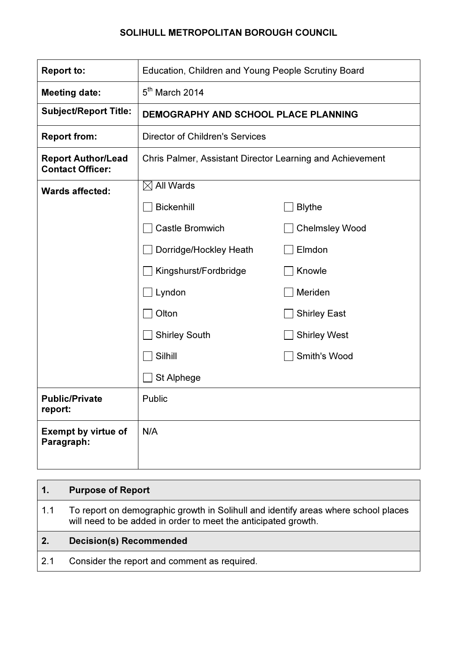### SOLIHULL METROPOLITAN BOROUGH COUNCIL

| <b>Report to:</b>                                    | Education, Children and Young People Scrutiny Board       |                       |  |
|------------------------------------------------------|-----------------------------------------------------------|-----------------------|--|
| <b>Meeting date:</b>                                 | $5th$ March 2014                                          |                       |  |
| <b>Subject/Report Title:</b>                         | <b>DEMOGRAPHY AND SCHOOL PLACE PLANNING</b>               |                       |  |
| <b>Report from:</b>                                  | <b>Director of Children's Services</b>                    |                       |  |
| <b>Report Author/Lead</b><br><b>Contact Officer:</b> | Chris Palmer, Assistant Director Learning and Achievement |                       |  |
| <b>Wards affected:</b>                               | $\boxtimes$ All Wards                                     |                       |  |
|                                                      | <b>Bickenhill</b>                                         | <b>Blythe</b>         |  |
|                                                      | <b>Castle Bromwich</b>                                    | <b>Chelmsley Wood</b> |  |
|                                                      | Dorridge/Hockley Heath                                    | Elmdon                |  |
|                                                      | Kingshurst/Fordbridge                                     | Knowle                |  |
|                                                      | Lyndon                                                    | Meriden               |  |
|                                                      | Olton                                                     | <b>Shirley East</b>   |  |
|                                                      | <b>Shirley South</b>                                      | <b>Shirley West</b>   |  |
|                                                      | Silhill                                                   | Smith's Wood          |  |
|                                                      | St Alphege                                                |                       |  |
| <b>Public/Private</b><br>report:                     | Public                                                    |                       |  |
| <b>Exempt by virtue of</b><br>Paragraph:             | N/A                                                       |                       |  |

# 1. Purpose of Report 1.1 To report on demographic growth in Solihull and identify areas where school places will need to be added in order to meet the anticipated growth. 2. Decision(s) Recommended 2.1 Consider the report and comment as required.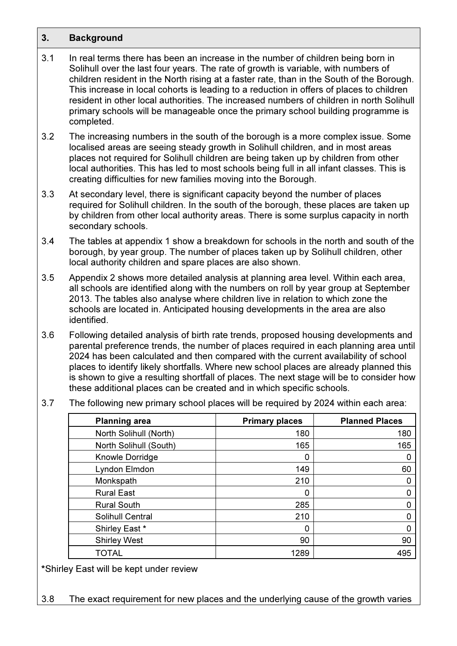#### 3. Background

- 3.1 In real terms there has been an increase in the number of children being born in Solihull over the last four years. The rate of growth is variable, with numbers of children resident in the North rising at a faster rate, than in the South of the Borough. This increase in local cohorts is leading to a reduction in offers of places to children resident in other local authorities. The increased numbers of children in north Solihull primary schools will be manageable once the primary school building programme is completed.
- 3.2 The increasing numbers in the south of the borough is a more complex issue. Some localised areas are seeing steady growth in Solihull children, and in most areas places not required for Solihull children are being taken up by children from other local authorities. This has led to most schools being full in all infant classes. This is creating difficulties for new families moving into the Borough.
- 3.3 At secondary level, there is significant capacity beyond the number of places required for Solihull children. In the south of the borough, these places are taken up by children from other local authority areas. There is some surplus capacity in north secondary schools.
- 3.4 The tables at appendix 1 show a breakdown for schools in the north and south of the borough, by year group. The number of places taken up by Solihull children, other local authority children and spare places are also shown.
- 3.5 Appendix 2 shows more detailed analysis at planning area level. Within each area, all schools are identified along with the numbers on roll by year group at September 2013. The tables also analyse where children live in relation to which zone the schools are located in. Anticipated housing developments in the area are also identified.
- 3.6 Following detailed analysis of birth rate trends, proposed housing developments and parental preference trends, the number of places required in each planning area until 2024 has been calculated and then compared with the current availability of school places to identify likely shortfalls. Where new school places are already planned this is shown to give a resulting shortfall of places. The next stage will be to consider how these additional places can be created and in which specific schools.
- 3.7 The following new primary school places will be required by 2024 within each area:

| <b>Planning area</b>   | <b>Primary places</b> | <b>Planned Places</b> |
|------------------------|-----------------------|-----------------------|
| North Solihull (North) | 180                   | 180                   |
| North Solihull (South) | 165                   | 165                   |
| Knowle Dorridge        | 0                     |                       |
| Lyndon Elmdon          | 149                   | 60                    |
| Monkspath              | 210                   |                       |
| <b>Rural East</b>      | 0                     |                       |
| <b>Rural South</b>     | 285                   |                       |
| Solihull Central       | 210                   |                       |
| Shirley East *         | O                     |                       |
| <b>Shirley West</b>    | 90                    | 90                    |
| TOTAL                  | 1289                  | 495                   |

\*Shirley East will be kept under review

3.8 The exact requirement for new places and the underlying cause of the growth varies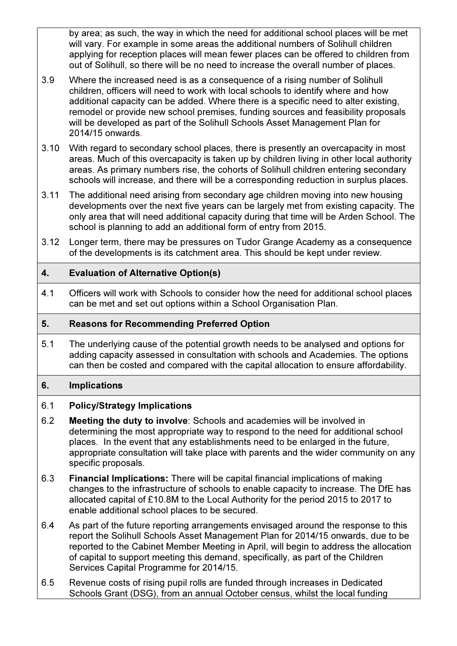by area; as such, the way in which the need for additional school places will be met will vary. For example in some areas the additional numbers of Solihull children applying for reception places will mean fewer places can be offered to children from out of Solihull, so there will be no need to increase the overall number of places.

- 3.9 Where the increased need is as a consequence of a rising number of Solihull children, officers will need to work with local schools to identify where and how additional capacity can be added. Where there is a specific need to alter existing, remodel or provide new school premises, funding sources and feasibility proposals will be developed as part of the Solihull Schools Asset Management Plan for 2014/15 onwards.
- 3.10 With regard to secondary school places, there is presently an overcapacity in most areas. Much of this overcapacity is taken up by children living in other local authority areas. As primary numbers rise, the cohorts of Solihull children entering secondary schools will increase, and there will be a corresponding reduction in surplus places.
- 3.11 The additional need arising from secondary age children moving into new housing developments over the next five years can be largely met from existing capacity. The only area that will need additional capacity during that time will be Arden School. The school is planning to add an additional form of entry from 2015.
- 3.12 Longer term, there may be pressures on Tudor Grange Academy as a consequence of the developments is its catchment area. This should be kept under review.

# 4. Evaluation of Alternative Option(s)

4.1 Officers will work with Schools to consider how the need for additional school places can be met and set out options within a School Organisation Plan.

# 5. Reasons for Recommending Preferred Option

5.1 The underlying cause of the potential growth needs to be analysed and options for adding capacity assessed in consultation with schools and Academies. The options can then be costed and compared with the capital allocation to ensure affordability.

# 6. Implications

# 6.1 Policy/Strategy Implications

- 6.2 Meeting the duty to involve: Schools and academies will be involved in determining the most appropriate way to respond to the need for additional school places. In the event that any establishments need to be enlarged in the future, appropriate consultation will take place with parents and the wider community on any specific proposals.
- 6.3 Financial Implications: There will be capital financial implications of making changes to the infrastructure of schools to enable capacity to increase. The DfE has allocated capital of £10.8M to the Local Authority for the period 2015 to 2017 to enable additional school places to be secured.
- 6.4 As part of the future reporting arrangements envisaged around the response to this report the Solihull Schools Asset Management Plan for 2014/15 onwards, due to be reported to the Cabinet Member Meeting in April, will begin to address the allocation of capital to support meeting this demand, specifically, as part of the Children Services Capital Programme for 2014/15.
- 6.5 Revenue costs of rising pupil rolls are funded through increases in Dedicated Schools Grant (DSG), from an annual October census, whilst the local funding